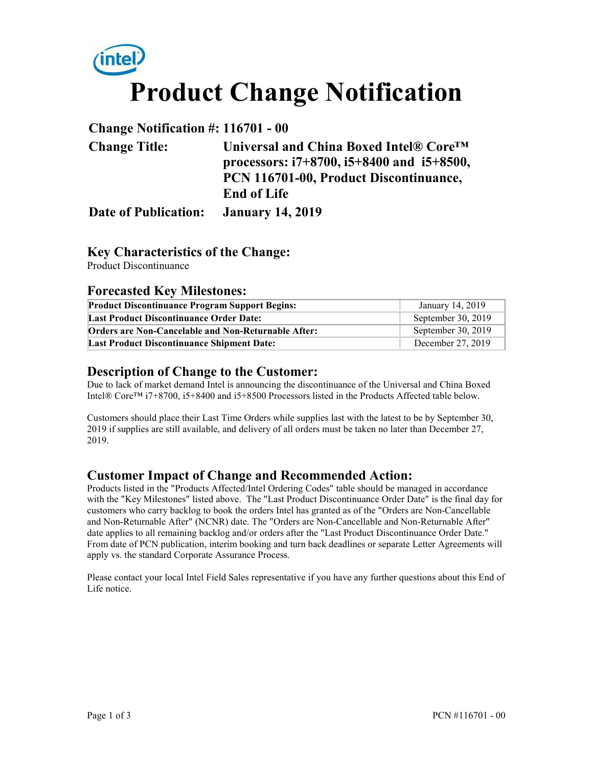

#### **Change Notification #: 116701 - 00**

| <b>Change Title:</b>                  | Universal and China Boxed Intel® Core <sup>TM</sup> |  |  |
|---------------------------------------|-----------------------------------------------------|--|--|
|                                       | processors: $i7+8700$ , $i5+8400$ and $i5+8500$ ,   |  |  |
|                                       | PCN 116701-00, Product Discontinuance,              |  |  |
|                                       | <b>End of Life</b>                                  |  |  |
| Date of Publication: January 14, 2019 |                                                     |  |  |

## **Key Characteristics of the Change:**

Product Discontinuance

#### **Forecasted Key Milestones:**

| <b>Product Discontinuance Program Support Begins:</b>      | January 14, 2019   |
|------------------------------------------------------------|--------------------|
| <b>Last Product Discontinuance Order Date:</b>             | September 30, 2019 |
| <b>Orders are Non-Cancelable and Non-Returnable After:</b> | September 30, 2019 |
| <b>Last Product Discontinuance Shipment Date:</b>          | December 27, 2019  |

#### **Description of Change to the Customer:**

Due to lack of market demand Intel is announcing the discontinuance of the Universal and China Boxed Intel® Core™ i7+8700, i5+8400 and i5+8500 Processors listed in the Products Affected table below.

Customers should place their Last Time Orders while supplies last with the latest to be by September 30, 2019 if supplies are still available, and delivery of all orders must be taken no later than December 27, 2019.

# **Customer Impact of Change and Recommended Action:**

Products listed in the "Products Affected/Intel Ordering Codes" table should be managed in accordance with the "Key Milestones" listed above. The "Last Product Discontinuance Order Date" is the final day for customers who carry backlog to book the orders Intel has granted as of the "Orders are Non-Cancellable and Non-Returnable After" (NCNR) date. The "Orders are Non-Cancellable and Non-Returnable After" date applies to all remaining backlog and/or orders after the "Last Product Discontinuance Order Date." From date of PCN publication, interim booking and turn back deadlines or separate Letter Agreements will apply vs. the standard Corporate Assurance Process.

Please contact your local Intel Field Sales representative if you have any further questions about this End of Life notice.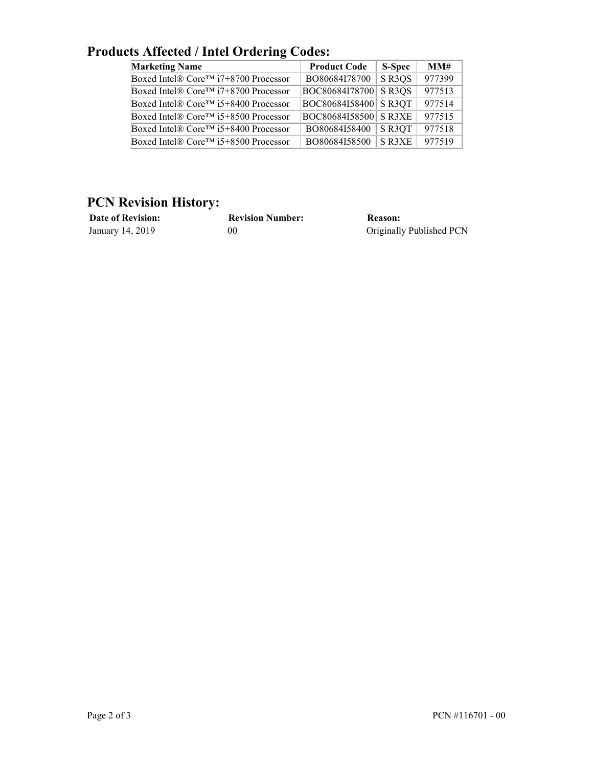| <b>Marketing Name</b>                             | <b>Product Code</b>  | S-Spec | MM#    |
|---------------------------------------------------|----------------------|--------|--------|
| Boxed Intel® Core <sup>TM</sup> i7+8700 Processor | BO80684I78700        | SR3QS  | 977399 |
| Boxed Intel® Core <sup>TM</sup> i7+8700 Processor | BOC80684I78700 SR3QS |        | 977513 |
| Boxed Intel® Core™ i5+8400 Processor              | BOC80684I58400 SR3QT |        | 977514 |
| Boxed Intel® Core <sup>TM</sup> i5+8500 Processor | BOC80684I58500 SR3XE |        | 977515 |
| Boxed Intel® Core <sup>TM</sup> i5+8400 Processor | BO80684I58400        | S R3QT | 977518 |
| Boxed Intel® Core <sup>TM</sup> i5+8500 Processor | BO80684I58500        | S R3XE | 977519 |

# **Products Affected / Intel Ordering Codes:**

## **PCN Revision History:**

| <b>Date of Revision:</b> | <b>Revision Number:</b> | Reason:                  |
|--------------------------|-------------------------|--------------------------|
| January 14, 2019         | 00                      | Originally Published PCN |